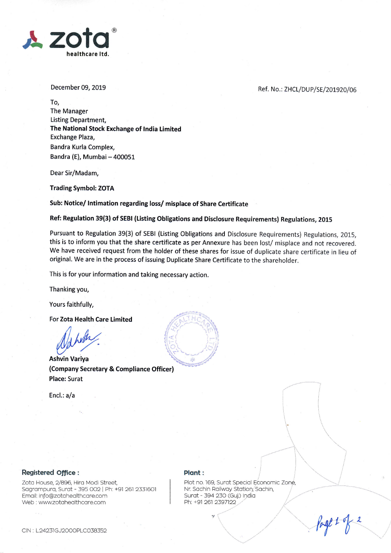

December 09, 2019

#### Ref. No.: ZHCL/DUP/SE/201920/06

To, The Manager Listing Department, The National Stock Exchange of lndia Limited Exchange Plaza, Bandra Kurla Complex, Bandra (E), Mumbai - 400051

Dear Sir/Madam,

Trading Symbol: ZOTA

Sub: Notice/ lntimation regarding loss/ misplace of Share Certificate

Ref: Regulation 39(3) of SEBI (Listing Obligations and Disclosure Requirements) Regulations, 2015

Pursuant to Regulation 39(3) of SEBI (Listing Obligations and Disclosure Requirements) Regulations, 2015, this is to inform you that the share certificate as per Annexure has been lost/ misplace and not recovered. We have received request from the holder of these shares for issue of duplicate share certificate in lieu of original. We are in the process of issuing Duplicate Share Certificate to the shareholder.

This is for your information and taking necessary action.

Thanking you,

Yours faithfully,

For Zota Health Care Limited

Ashvin Variya

(Company Secretary & Compliance Officer) Place: Surat

Encl.: a/a



### Registered office:

Zota House, 2/896, Hira Modi Street, Sagrampura, Surat - 395 002 | Ph: +91 261 2331601 Emoil: info@zotoheolthcqre.com Web : wwwzotoheolthcore.com

#### Plant:

ii Plot no.'169, Surot Speciol Economic Zonp, Nr. Sachin Railway Station, Sachin, Surot - 394 23O (Guj.) Indio Ph: +91 261 2397122

 $\sqrt{2}$ 

 $\diagdown$ 

 $\mathbf{v} \leftarrow$ 

./''t  $\diagup$ 

Page + of 2